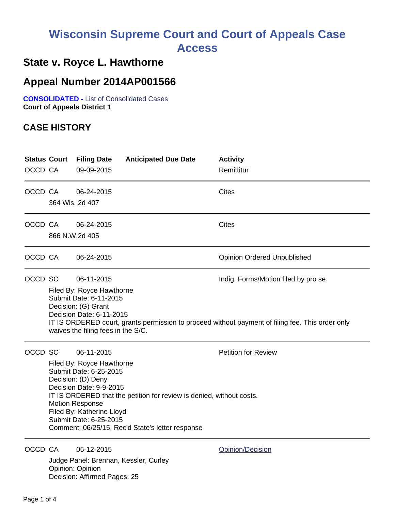# **Wisconsin Supreme Court and Court of Appeals Case Access**

## **State v. Royce L. Hawthorne**

### **Appeal Number 2014AP001566**

**CONSOLIDATED -** List of Consolidated Cases **Court of Appeals District 1**

#### **CASE HISTORY**

| <b>Status Court</b><br>OCCD CA |                                                                                                                                                                                                                                                                                                       | <b>Filing Date</b><br>09-09-2015                                                                   | <b>Anticipated Due Date</b> | <b>Activity</b><br>Remittitur      |  |  |
|--------------------------------|-------------------------------------------------------------------------------------------------------------------------------------------------------------------------------------------------------------------------------------------------------------------------------------------------------|----------------------------------------------------------------------------------------------------|-----------------------------|------------------------------------|--|--|
| OCCD CA                        |                                                                                                                                                                                                                                                                                                       | 06-24-2015<br>364 Wis. 2d 407                                                                      |                             | <b>Cites</b>                       |  |  |
| OCCD CA                        |                                                                                                                                                                                                                                                                                                       | 06-24-2015<br>866 N.W.2d 405                                                                       |                             | <b>Cites</b>                       |  |  |
| OCCD CA                        |                                                                                                                                                                                                                                                                                                       | 06-24-2015                                                                                         |                             | <b>Opinion Ordered Unpublished</b> |  |  |
| OCCD SC                        | 06-11-2015<br>Indig. Forms/Motion filed by pro se<br>Filed By: Royce Hawthorne<br>Submit Date: 6-11-2015<br>Decision: (G) Grant<br>Decision Date: 6-11-2015<br>IT IS ORDERED court, grants permission to proceed without payment of filing fee. This order only<br>waives the filing fees in the S/C. |                                                                                                    |                             |                                    |  |  |
| OCCD SC                        | Filed By: Royce Hawthorne<br>Submit Date: 6-25-2015<br>Decision: (D) Deny<br>Decision Date: 9-9-2015<br><b>Motion Response</b><br>Filed By: Katherine Lloyd<br>Submit Date: 6-25-2015<br>Comment: 06/25/15, Rec'd State's letter response                                                             | <b>Petition for Review</b><br>IT IS ORDERED that the petition for review is denied, without costs. |                             |                                    |  |  |

OCCD CA 05-12-2015 Quantity Charles Communication

Judge Panel: Brennan, Kessler, Curley Opinion: Opinion Decision: Affirmed Pages: 25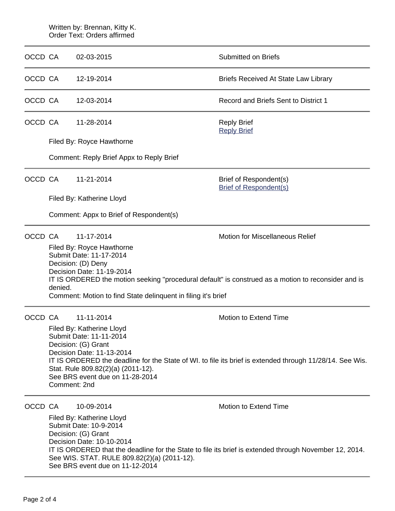|         | Written by: Brennan, Kitty K.<br>Order Text: Orders affirmed                                                                                                                                                                                                                                                                                       |                                                                                                                                                                                                                                                                                                                                                      |                                                                                                                                 |  |  |  |
|---------|----------------------------------------------------------------------------------------------------------------------------------------------------------------------------------------------------------------------------------------------------------------------------------------------------------------------------------------------------|------------------------------------------------------------------------------------------------------------------------------------------------------------------------------------------------------------------------------------------------------------------------------------------------------------------------------------------------------|---------------------------------------------------------------------------------------------------------------------------------|--|--|--|
| OCCD CA |                                                                                                                                                                                                                                                                                                                                                    | 02-03-2015                                                                                                                                                                                                                                                                                                                                           | <b>Submitted on Briefs</b>                                                                                                      |  |  |  |
| OCCD CA |                                                                                                                                                                                                                                                                                                                                                    | 12-19-2014                                                                                                                                                                                                                                                                                                                                           | <b>Briefs Received At State Law Library</b>                                                                                     |  |  |  |
| OCCD CA |                                                                                                                                                                                                                                                                                                                                                    | 12-03-2014                                                                                                                                                                                                                                                                                                                                           | Record and Briefs Sent to District 1                                                                                            |  |  |  |
| OCCD CA |                                                                                                                                                                                                                                                                                                                                                    | 11-28-2014                                                                                                                                                                                                                                                                                                                                           | <b>Reply Brief</b><br><b>Reply Brief</b>                                                                                        |  |  |  |
|         |                                                                                                                                                                                                                                                                                                                                                    | Filed By: Royce Hawthorne                                                                                                                                                                                                                                                                                                                            |                                                                                                                                 |  |  |  |
|         |                                                                                                                                                                                                                                                                                                                                                    | Comment: Reply Brief Appx to Reply Brief                                                                                                                                                                                                                                                                                                             |                                                                                                                                 |  |  |  |
| OCCD CA |                                                                                                                                                                                                                                                                                                                                                    | 11-21-2014                                                                                                                                                                                                                                                                                                                                           | Brief of Respondent(s)<br><b>Brief of Respondent(s)</b>                                                                         |  |  |  |
|         |                                                                                                                                                                                                                                                                                                                                                    | Filed By: Katherine Lloyd                                                                                                                                                                                                                                                                                                                            |                                                                                                                                 |  |  |  |
|         |                                                                                                                                                                                                                                                                                                                                                    | Comment: Appx to Brief of Respondent(s)                                                                                                                                                                                                                                                                                                              |                                                                                                                                 |  |  |  |
| OCCD CA | 11-17-2014<br><b>Motion for Miscellaneous Relief</b><br>Filed By: Royce Hawthorne<br>Submit Date: 11-17-2014<br>Decision: (D) Deny<br>Decision Date: 11-19-2014<br>IT IS ORDERED the motion seeking "procedural default" is construed as a motion to reconsider and is<br>denied.<br>Comment: Motion to find State delinquent in filing it's brief |                                                                                                                                                                                                                                                                                                                                                      |                                                                                                                                 |  |  |  |
| OCCD CA |                                                                                                                                                                                                                                                                                                                                                    | 11-11-2014<br>Motion to Extend Time<br>Filed By: Katherine Lloyd<br>Submit Date: 11-11-2014<br>Decision: (G) Grant<br>Decision Date: 11-13-2014<br>IT IS ORDERED the deadline for the State of WI. to file its brief is extended through 11/28/14. See Wis.<br>Stat. Rule 809.82(2)(a) (2011-12).<br>See BRS event due on 11-28-2014<br>Comment: 2nd |                                                                                                                                 |  |  |  |
| OCCD CA |                                                                                                                                                                                                                                                                                                                                                    | 10-09-2014<br>Filed By: Katherine Lloyd<br>Submit Date: 10-9-2014<br>Decision: (G) Grant<br>Decision Date: 10-10-2014<br>See WIS. STAT. RULE 809.82(2)(a) (2011-12).<br>See BRS event due on 11-12-2014                                                                                                                                              | Motion to Extend Time<br>IT IS ORDERED that the deadline for the State to file its brief is extended through November 12, 2014. |  |  |  |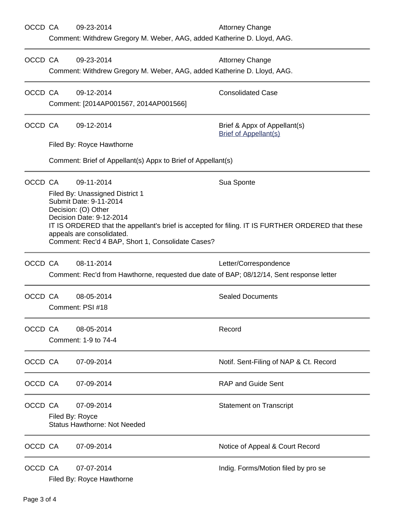| OCCD CA |                                                                                                                                                                                                                                                                                                     | 09-23-2014                                                   | <b>Attorney Change</b>                                       |  |  |  |  |
|---------|-----------------------------------------------------------------------------------------------------------------------------------------------------------------------------------------------------------------------------------------------------------------------------------------------------|--------------------------------------------------------------|--------------------------------------------------------------|--|--|--|--|
|         | Comment: Withdrew Gregory M. Weber, AAG, added Katherine D. Lloyd, AAG.                                                                                                                                                                                                                             |                                                              |                                                              |  |  |  |  |
| OCCD CA |                                                                                                                                                                                                                                                                                                     | 09-23-2014                                                   | <b>Attorney Change</b>                                       |  |  |  |  |
|         | Comment: Withdrew Gregory M. Weber, AAG, added Katherine D. Lloyd, AAG.                                                                                                                                                                                                                             |                                                              |                                                              |  |  |  |  |
| OCCD CA |                                                                                                                                                                                                                                                                                                     | 09-12-2014                                                   | <b>Consolidated Case</b>                                     |  |  |  |  |
|         | Comment: [2014AP001567, 2014AP001566]                                                                                                                                                                                                                                                               |                                                              |                                                              |  |  |  |  |
| OCCD CA | 09-12-2014                                                                                                                                                                                                                                                                                          |                                                              | Brief & Appx of Appellant(s)<br><b>Brief of Appellant(s)</b> |  |  |  |  |
|         |                                                                                                                                                                                                                                                                                                     | Filed By: Royce Hawthorne                                    |                                                              |  |  |  |  |
|         |                                                                                                                                                                                                                                                                                                     | Comment: Brief of Appellant(s) Appx to Brief of Appellant(s) |                                                              |  |  |  |  |
| OCCD CA |                                                                                                                                                                                                                                                                                                     | 09-11-2014                                                   | Sua Sponte                                                   |  |  |  |  |
|         | Filed By: Unassigned District 1<br>Submit Date: 9-11-2014<br>Decision: (O) Other<br>Decision Date: 9-12-2014<br>IT IS ORDERED that the appellant's brief is accepted for filing. IT IS FURTHER ORDERED that these<br>appeals are consolidated.<br>Comment: Rec'd 4 BAP, Short 1, Consolidate Cases? |                                                              |                                                              |  |  |  |  |
| OCCD CA |                                                                                                                                                                                                                                                                                                     | 08-11-2014                                                   | Letter/Correspondence                                        |  |  |  |  |
|         | Comment: Rec'd from Hawthorne, requested due date of BAP; 08/12/14, Sent response letter                                                                                                                                                                                                            |                                                              |                                                              |  |  |  |  |
| OCCD CA |                                                                                                                                                                                                                                                                                                     | 08-05-2014                                                   | <b>Sealed Documents</b>                                      |  |  |  |  |
|         | Comment: PSI #18                                                                                                                                                                                                                                                                                    |                                                              |                                                              |  |  |  |  |
| OCCD CA |                                                                                                                                                                                                                                                                                                     | 08-05-2014                                                   | Record                                                       |  |  |  |  |
|         | Comment: 1-9 to 74-4                                                                                                                                                                                                                                                                                |                                                              |                                                              |  |  |  |  |
| OCCD CA |                                                                                                                                                                                                                                                                                                     | 07-09-2014                                                   | Notif. Sent-Filing of NAP & Ct. Record                       |  |  |  |  |
| OCCD CA |                                                                                                                                                                                                                                                                                                     | 07-09-2014                                                   | <b>RAP and Guide Sent</b>                                    |  |  |  |  |
| OCCD CA |                                                                                                                                                                                                                                                                                                     | 07-09-2014                                                   | <b>Statement on Transcript</b>                               |  |  |  |  |
|         | Filed By: Royce<br><b>Status Hawthorne: Not Needed</b>                                                                                                                                                                                                                                              |                                                              |                                                              |  |  |  |  |
| OCCD CA |                                                                                                                                                                                                                                                                                                     | 07-09-2014                                                   | Notice of Appeal & Court Record                              |  |  |  |  |
| OCCD CA |                                                                                                                                                                                                                                                                                                     | 07-07-2014<br>Filed By: Royce Hawthorne                      | Indig. Forms/Motion filed by pro se                          |  |  |  |  |